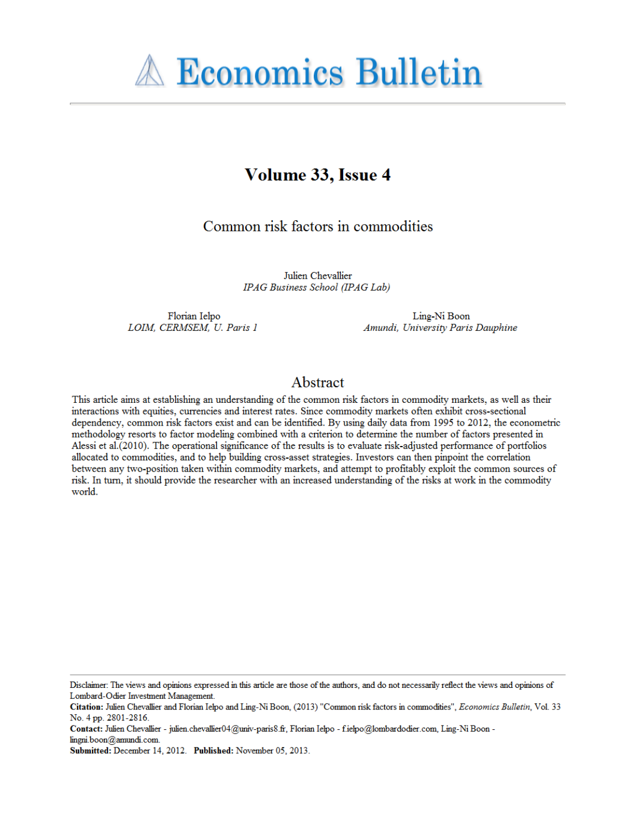# **A Economics Bulletin**

## Volume 33, Issue 4

### Common risk factors in commodities

Julien Chevallier IPAG Business School (IPAG Lab)

Florian Ielpo LOIM, CERMSEM, U. Paris 1

Ling-Ni Boon Amundi, University Paris Dauphine

#### Abstract

This article aims at establishing an understanding of the common risk factors in commodity markets, as well as their interactions with equities, currencies and interest rates. Since commodity markets often exhibit cross-sectional dependency, common risk factors exist and can be identified. By using daily data from 1995 to 2012, the econometric methodology resorts to factor modeling combined with a criterion to determine the number of factors presented in Alessi et al. (2010). The operational significance of the results is to evaluate risk-adjusted performance of portfolios allocated to commodities, and to help building cross-asset strategies. Investors can then pinpoint the correlation between any two-position taken within commodity markets, and attempt to profitably exploit the common sources of risk. In turn, it should provide the researcher with an increased understanding of the risks at work in the commodity world.

Disclaimer: The views and opinions expressed in this article are those of the authors, and do not necessarily reflect the views and opinions of Lombard-Odier Investment Management.

Citation: Julien Chevallier and Florian Ielpo and Ling-Ni Boon, (2013) "Common risk factors in commodities", Economics Bulletin, Vol. 33 No. 4 pp. 2801-2816.

Contact: Julien Chevallier - julien.chevallier04@univ-paris8.fr, Florian Ielpo - f.ielpo@lombardodier.com, Ling-Ni Boon -

lingni.boon@amundi.com.

Submitted: December 14, 2012. Published: November 05, 2013.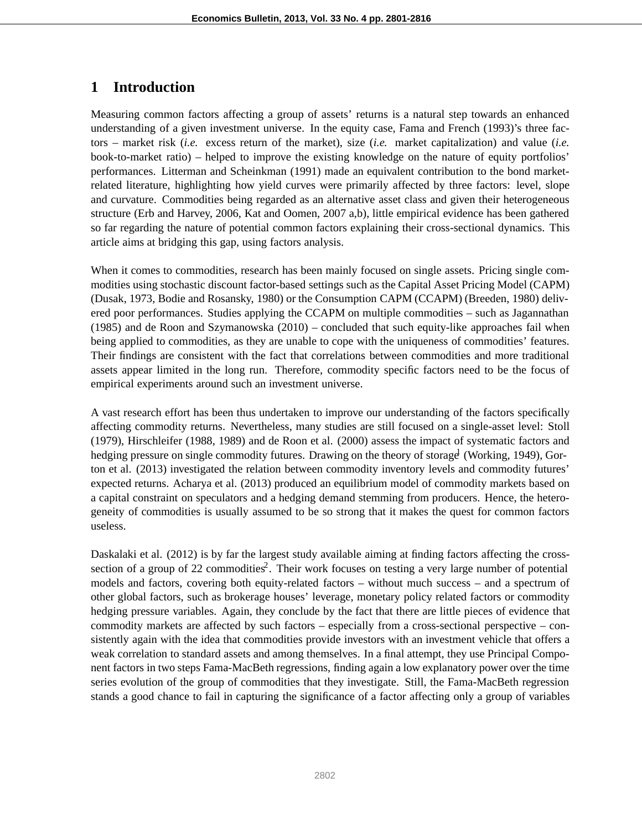## **1 Introduction**

Measuring common factors affecting a group of assets' returns is a natural step towards an enhanced understanding of a given investment universe. In the equity case, Fama and French (1993)'s three factors – market risk (*i.e.* excess return of the market), size (*i.e.* market capitalization) and value (*i.e.* book-to-market ratio) – helped to improve the existing knowledge on the nature of equity portfolios' performances. Litterman and Scheinkman (1991) made an equivalent contribution to the bond marketrelated literature, highlighting how yield curves were primarily affected by three factors: level, slope and curvature. Commodities being regarded as an alternative asset class and given their heterogeneous structure (Erb and Harvey, 2006, Kat and Oomen, 2007 a,b), little empirical evidence has been gathered so far regarding the nature of potential common factors explaining their cross-sectional dynamics. This article aims at bridging this gap, using factors analysis.

When it comes to commodities, research has been mainly focused on single assets. Pricing single commodities using stochastic discount factor-based settings such as the Capital Asset Pricing Model (CAPM) (Dusak, 1973, Bodie and Rosansky, 1980) or the Consumption CAPM (CCAPM) (Breeden, 1980) delivered poor performances. Studies applying the CCAPM on multiple commodities – such as Jagannathan (1985) and de Roon and Szymanowska (2010) – concluded that such equity-like approaches fail when being applied to commodities, as they are unable to cope with the uniqueness of commodities' features. Their findings are consistent with the fact that correlations between commodities and more traditional assets appear limited in the long run. Therefore, commodity specific factors need to be the focus of empirical experiments around such an investment universe.

A vast research effort has been thus undertaken to improve our understanding of the factors specifically affecting commodity returns. Nevertheless, many studies are still focused on a single-asset level: Stoll (1979), Hirschleifer (1988, 1989) and de Roon et al. (2000) assess the impact of systematic factors and hedging pressure on single commodity futures. Drawing on the theory of storage (Working, 1949), Gorton et al. (2013) investigated the relation between commodity inventory levels and commodity futures' expected returns. Acharya et al. (2013) produced an equilibrium model of commodity markets based on a capital constraint on speculators and a hedging demand stemming from producers. Hence, the heterogeneity of commodities is usually assumed to be so strong that it makes the quest for common factors useless.

Daskalaki et al. (2012) is by far the largest study available aiming at finding factors affecting the crosssection of a group of 22 commodities<sup>2</sup>. Their work focuses on testing a very large number of potential models and factors, covering both equity-related factors – without much success – and a spectrum of other global factors, such as brokerage houses' leverage, monetary policy related factors or commodity hedging pressure variables. Again, they conclude by the fact that there are little pieces of evidence that commodity markets are affected by such factors – especially from a cross-sectional perspective – consistently again with the idea that commodities provide investors with an investment vehicle that offers a weak correlation to standard assets and among themselves. In a final attempt, they use Principal Component factors in two steps Fama-MacBeth regressions, finding again a low explanatory power over the time series evolution of the group of commodities that they investigate. Still, the Fama-MacBeth regression stands a good chance to fail in capturing the significance of a factor affecting only a group of variables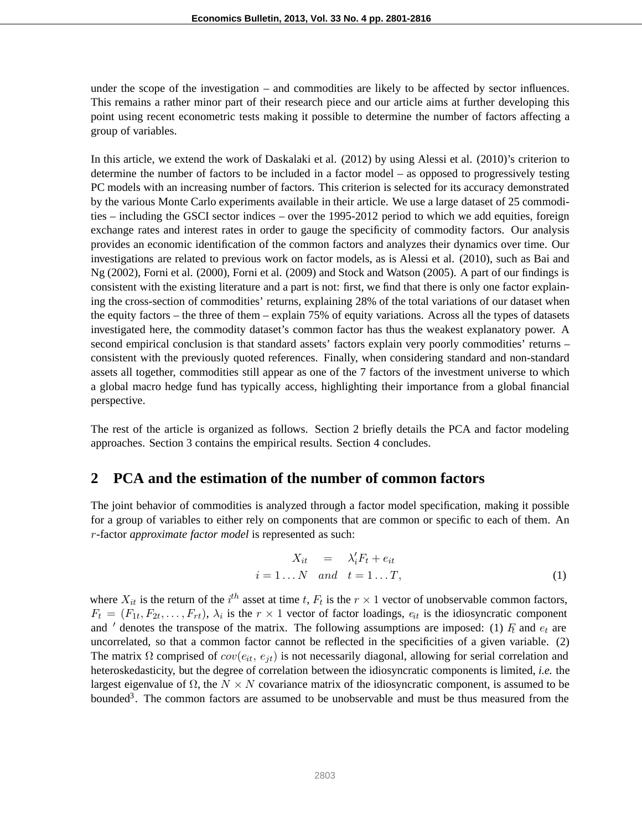under the scope of the investigation – and commodities are likely to be affected by sector influences. This remains a rather minor part of their research piece and our article aims at further developing this point using recent econometric tests making it possible to determine the number of factors affecting a group of variables.

In this article, we extend the work of Daskalaki et al. (2012) by using Alessi et al. (2010)'s criterion to determine the number of factors to be included in a factor model – as opposed to progressively testing PC models with an increasing number of factors. This criterion is selected for its accuracy demonstrated by the various Monte Carlo experiments available in their article. We use a large dataset of 25 commodities – including the GSCI sector indices – over the 1995-2012 period to which we add equities, foreign exchange rates and interest rates in order to gauge the specificity of commodity factors. Our analysis provides an economic identification of the common factors and analyzes their dynamics over time. Our investigations are related to previous work on factor models, as is Alessi et al. (2010), such as Bai and Ng (2002), Forni et al. (2000), Forni et al. (2009) and Stock and Watson (2005). A part of our findings is consistent with the existing literature and a part is not: first, we find that there is only one factor explaining the cross-section of commodities' returns, explaining 28% of the total variations of our dataset when the equity factors – the three of them – explain 75% of equity variations. Across all the types of datasets investigated here, the commodity dataset's common factor has thus the weakest explanatory power. A second empirical conclusion is that standard assets' factors explain very poorly commodities' returns – consistent with the previously quoted references. Finally, when considering standard and non-standard assets all together, commodities still appear as one of the 7 factors of the investment universe to which a global macro hedge fund has typically access, highlighting their importance from a global financial perspective.

The rest of the article is organized as follows. Section 2 briefly details the PCA and factor modeling approaches. Section 3 contains the empirical results. Section 4 concludes.

#### **2 PCA and the estimation of the number of common factors**

The joint behavior of commodities is analyzed through a factor model specification, making it possible for a group of variables to either rely on components that are common or specific to each of them. An r-factor *approximate factor model* is represented as such:

$$
X_{it} = \lambda'_{i} F_{t} + e_{it}
$$
  
\n $i = 1...N$  and  $t = 1...T,$  (1)

where  $X_{it}$  is the return of the  $i^{th}$  asset at time t,  $F_t$  is the  $r \times 1$  vector of unobservable common factors,  $F_t = (F_t, F_t, F_t)$ .  $F_t = (F_{1t}, F_{2t}, \ldots, F_{rt})$ ,  $\lambda_i$  is the  $r \times 1$  vector of factor loadings,  $e_{it}$  is the idiosyncratic component and ' denotes the transpose of the matrix. The following assumptions are imposed: (1)  $F_t$  and  $e_t$  are uncorrelated, so that a common factor cannot be reflected in the specificities of a given variable. (2) The matrix  $\Omega$  comprised of  $cov(e_{it}, e_{jt})$  is not necessarily diagonal, allowing for serial correlation and heteroskedasticity, but the degree of correlation between the idiosyncratic components is limited, *i.e.* the largest eigenvalue of  $\Omega$ , the  $N \times N$  covariance matrix of the idiosyncratic component, is assumed to be bounded<sup>3</sup>. The common factors are assumed to be unobservable and must be thus measured from the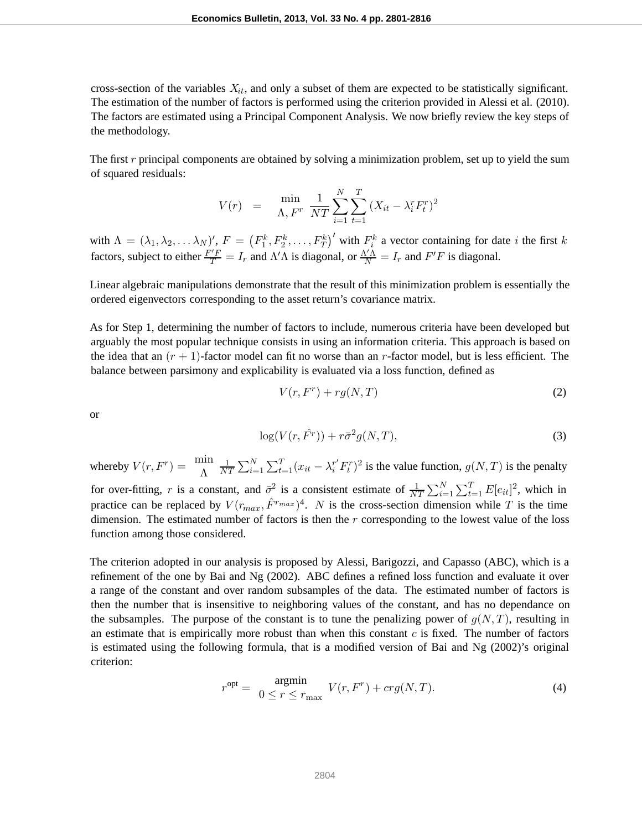cross-section of the variables  $X_{it}$ , and only a subset of them are expected to be statistically significant. The estimation of the number of factors is performed using the criterion provided in Alessi et al. (2010). The factors are estimated using a Principal Component Analysis. We now briefly review the key steps of the methodology.

The first  $r$  principal components are obtained by solving a minimization problem, set up to yield the sum of squared residuals:

$$
V(r) = \min_{\Lambda, F^r} \frac{1}{NT} \sum_{i=1}^{N} \sum_{t=1}^{T} (X_{it} - \lambda_i^r F_t^r)^2
$$

with  $\Lambda = (\lambda_1, \lambda_2, \ldots \lambda_N)'$ ,  $F = (F_1^k, F_2^k, \ldots, F_T^k)'$  with  $F_i^k$  a vector containing for date i the first k factors, subject to either  $\frac{F'F}{T} = I_r$  and  $\Lambda' \Lambda$  is diagonal, or  $\frac{\Lambda' \Lambda}{N} = I_r$  and  $F'F$  is diagonal.

Linear algebraic manipulations demonstrate that the result of this minimization problem is essentially the ordered eigenvectors corresponding to the asset return's covariance matrix.

As for Step 1, determining the number of factors to include, numerous criteria have been developed but arguably the most popular technique consists in using an information criteria. This approach is based on the idea that an  $(r + 1)$ -factor model can fit no worse than an r-factor model, but is less efficient. The balance between parsimony and explicability is evaluated via a loss function, defined as

$$
V(r, F^r) + rg(N, T)
$$
\n(2)

or

$$
\log(V(r, \hat{F}^r)) + r\bar{\sigma}^2 g(N, T), \tag{3}
$$

whereby  $V(r, F^r) = \frac{m m}{\Lambda} \frac{1}{N^r}$ for over-fitting, r is a constant, and  $\bar{\sigma}^2$  is a consistent estimate of  $\frac{1}{NT} \sum_{i=1}^{N} \sum_{t=1}^{T} E[e_{it}]^2$ , which in  $\frac{1}{NT} \sum_{i=1}^{N} \sum_{t=1}^{T} (x_{it} - \lambda_i^{r'} F_t^{r})^2$  is the value function,  $g(N,T)$  is the penalty practice can be replaced by  $V(r_{max}, \hat{F}^{r_{max}})^4$ . N is the cross-section dimension while T is the time dimension. The estimated number of factors is then the  $r$  corresponding to the lowest value of the loss function among those considered.

The criterion adopted in our analysis is proposed by Alessi, Barigozzi, and Capasso (ABC), which is a refinement of the one by Bai and Ng (2002). ABC defines a refined loss function and evaluate it over a range of the constant and over random subsamples of the data. The estimated number of factors is then the number that is insensitive to neighboring values of the constant, and has no dependance on the subsamples. The purpose of the constant is to tune the penalizing power of  $q(N,T)$ , resulting in an estimate that is empirically more robust than when this constant  $c$  is fixed. The number of factors is estimated using the following formula, that is a modified version of Bai and Ng (2002)'s original criterion:

$$
r^{\text{opt}} = \underset{0 \le r \le r_{\text{max}}}{\text{argmin}} V(r, F^r) + crg(N, T). \tag{4}
$$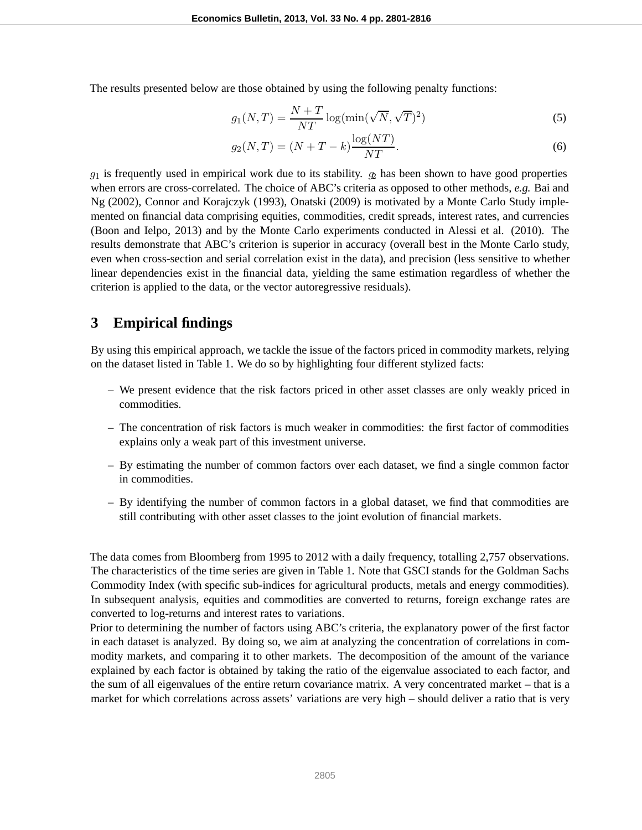The results presented below are those obtained by using the following penalty functions:

$$
g_1(N,T) = \frac{N+T}{NT} \log(\min(\sqrt{N}, \sqrt{T})^2)
$$
\n(5)

$$
g_2(N,T) = (N+T-k)\frac{\log (NT)}{NT}.
$$
 (6)

 $g_1$  is frequently used in empirical work due to its stability.  $g_2$  has been shown to have good properties when errors are cross-correlated. The choice of ABC's criteria as opposed to other methods, *e.g.* Bai and Ng (2002), Connor and Korajczyk (1993), Onatski (2009) is motivated by a Monte Carlo Study implemented on financial data comprising equities, commodities, credit spreads, interest rates, and currencies (Boon and Ielpo, 2013) and by the Monte Carlo experiments conducted in Alessi et al. (2010). The results demonstrate that ABC's criterion is superior in accuracy (overall best in the Monte Carlo study, even when cross-section and serial correlation exist in the data), and precision (less sensitive to whether linear dependencies exist in the financial data, yielding the same estimation regardless of whether the criterion is applied to the data, or the vector autoregressive residuals).

#### **3 Empirical findings**

By using this empirical approach, we tackle the issue of the factors priced in commodity markets, relying on the dataset listed in Table 1. We do so by highlighting four different stylized facts:

- We present evidence that the risk factors priced in other asset classes are only weakly priced in commodities.
- The concentration of risk factors is much weaker in commodities: the first factor of commodities explains only a weak part of this investment universe.
- By estimating the number of common factors over each dataset, we find a single common factor in commodities.
- By identifying the number of common factors in a global dataset, we find that commodities are still contributing with other asset classes to the joint evolution of financial markets.

The data comes from Bloomberg from 1995 to 2012 with a daily frequency, totalling 2,757 observations. The characteristics of the time series are given in Table 1. Note that GSCI stands for the Goldman Sachs Commodity Index (with specific sub-indices for agricultural products, metals and energy commodities). In subsequent analysis, equities and commodities are converted to returns, foreign exchange rates are converted to log-returns and interest rates to variations.

Prior to determining the number of factors using ABC's criteria, the explanatory power of the first factor in each dataset is analyzed. By doing so, we aim at analyzing the concentration of correlations in commodity markets, and comparing it to other markets. The decomposition of the amount of the variance explained by each factor is obtained by taking the ratio of the eigenvalue associated to each factor, and the sum of all eigenvalues of the entire return covariance matrix. A very concentrated market – that is a market for which correlations across assets' variations are very high – should deliver a ratio that is very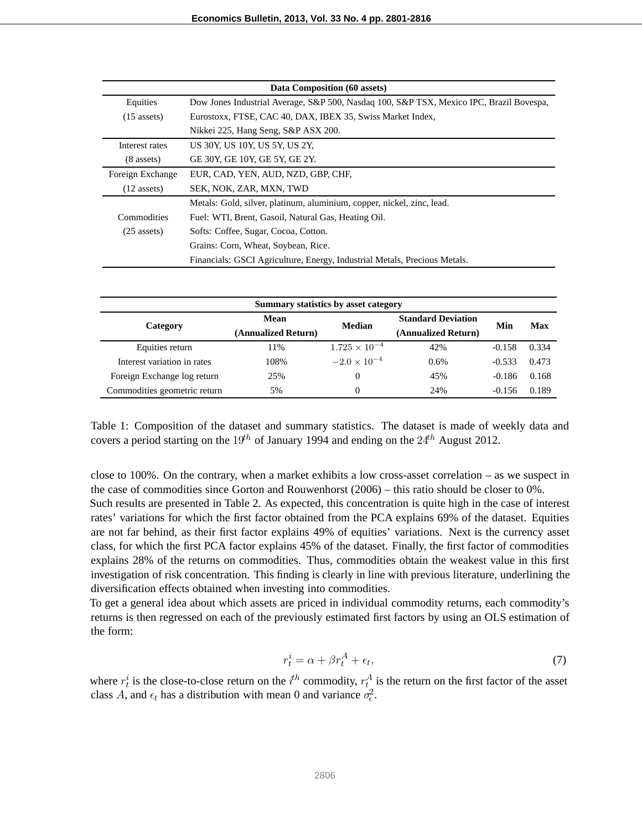| Data Composition (60 assets) |                                                                                         |  |  |  |  |  |
|------------------------------|-----------------------------------------------------------------------------------------|--|--|--|--|--|
| Equities                     | Dow Jones Industrial Average, S&P 500, Nasdaq 100, S&P TSX, Mexico IPC, Brazil Bovespa, |  |  |  |  |  |
| $(15$ assets)                | Eurostoxx, FTSE, CAC 40, DAX, IBEX 35, Swiss Market Index,                              |  |  |  |  |  |
|                              | Nikkei 225, Hang Seng, S&P ASX 200.                                                     |  |  |  |  |  |
| Interest rates               | US 30Y, US 10Y, US 5Y, US 2Y,                                                           |  |  |  |  |  |
| $(8$ assets)                 | GE 30Y, GE 10Y, GE 5Y, GE 2Y.                                                           |  |  |  |  |  |
| Foreign Exchange             | EUR, CAD, YEN, AUD, NZD, GBP, CHF,                                                      |  |  |  |  |  |
| $(12$ assets)                | SEK, NOK, ZAR, MXN, TWD                                                                 |  |  |  |  |  |
|                              | Metals: Gold, silver, platinum, aluminium, copper, nickel, zinc, lead.                  |  |  |  |  |  |
| Commodities                  | Fuel: WTI, Brent, Gasoil, Natural Gas, Heating Oil.                                     |  |  |  |  |  |
| $(25$ assets)                | Softs: Coffee, Sugar, Cocoa, Cotton.                                                    |  |  |  |  |  |
|                              | Grains: Corn, Wheat, Soybean, Rice.                                                     |  |  |  |  |  |
|                              | Financials: GSCI Agriculture, Energy, Industrial Metals, Precious Metals.               |  |  |  |  |  |

| Summary statistics by asset category |                     |                        |                           |          |       |  |  |
|--------------------------------------|---------------------|------------------------|---------------------------|----------|-------|--|--|
|                                      | Mean                | <b>Median</b>          | <b>Standard Deviation</b> | Min      | Max   |  |  |
| Category                             | (Annualized Return) |                        | (Annualized Return)       |          |       |  |  |
| Equities return                      | 11%                 | $1.725 \times 10^{-4}$ | 42%                       | $-0.158$ | 0.334 |  |  |
| Interest variation in rates          | 108%                | $-2.0 \times 10^{-4}$  | 0.6%                      | $-0.533$ | 0.473 |  |  |
| Foreign Exchange log return          | 25%                 | 0                      | 45%                       | $-0.186$ | 0.168 |  |  |
| Commodities geometric return         | 5%                  | 0                      | 24%                       | $-0.156$ | 0.189 |  |  |

Table 1: Composition of the dataset and summary statistics. The dataset is made of weekly data and covers a period starting on the 19<sup>th</sup> of January 1994 and ending on the  $24<sup>th</sup>$  August 2012.

close to 100%. On the contrary, when a market exhibits a low cross-asset correlation – as we suspect in the case of commodities since Gorton and Rouwenhorst (2006) – this ratio should be closer to 0%. Such results are presented in Table 2. As expected, this concentration is quite high in the case of interest rates' variations for which the first factor obtained from the PCA explains 69% of the dataset. Equities are not far behind, as their first factor explains 49% of equities' variations. Next is the currency asset class, for which the first PCA factor explains 45% of the dataset. Finally, the first factor of commodities explains 28% of the returns on commodities. Thus, commodities obtain the weakest value in this first investigation of risk concentration. This finding is clearly in line with previous literature, underlining the diversification effects obtained when investing into commodities.

To get a general idea about which assets are priced in individual commodity returns, each commodity's returns is then regressed on each of the previously estimated first factors by using an OLS estimation of the form:

$$
r_t^i = \alpha + \beta r_t^A + \epsilon_t,\tag{7}
$$

where  $r_t^i$  is the close-to-close return on the  $i^{th}$  commodity,  $r_t^A$  is the return on the first factor of the asset class A, and  $\epsilon_t$  has a distribution with mean 0 and variance  $\sigma_{\epsilon}^2$ .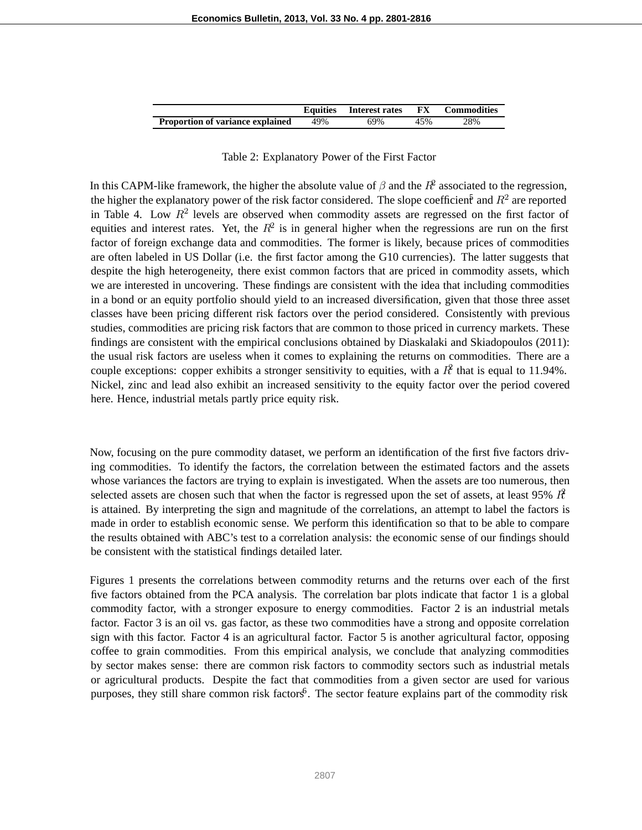|                                         |     | Equities Interest rates | FX. | <b>Commodities</b> |
|-----------------------------------------|-----|-------------------------|-----|--------------------|
| <b>Proportion of variance explained</b> | 49% | 69%                     | 45% | 28%                |

#### Table 2: Explanatory Power of the First Factor

In this CAPM-like framework, the higher the absolute value of  $\beta$  and the  $R^2$  associated to the regression, the higher the explanatory power of the risk factor considered. The slope coefficient and  $R^2$  are reported in Table 4. Low  $R^2$  levels are observed when commodity assets are regressed on the first factor of equities and interest rates. Yet, the  $R^2$  is in general higher when the regressions are run on the first factor of foreign exchange data and commodities. The former is likely, because prices of commodities are often labeled in US Dollar (i.e. the first factor among the G10 currencies). The latter suggests that despite the high heterogeneity, there exist common factors that are priced in commodity assets, which we are interested in uncovering. These findings are consistent with the idea that including commodities in a bond or an equity portfolio should yield to an increased diversification, given that those three asset classes have been pricing different risk factors over the period considered. Consistently with previous studies, commodities are pricing risk factors that are common to those priced in currency markets. These findings are consistent with the empirical conclusions obtained by Diaskalaki and Skiadopoulos (2011): the usual risk factors are useless when it comes to explaining the returns on commodities. There are a couple exceptions: copper exhibits a stronger sensitivity to equities, with a  $R^2$  that is equal to 11.94%. Nickel, zinc and lead also exhibit an increased sensitivity to the equity factor over the period covered here. Hence, industrial metals partly price equity risk.

Now, focusing on the pure commodity dataset, we perform an identification of the first five factors driving commodities. To identify the factors, the correlation between the estimated factors and the assets whose variances the factors are trying to explain is investigated. When the assets are too numerous, then selected assets are chosen such that when the factor is regressed upon the set of assets, at least 95%  $\hat{R}$ is attained. By interpreting the sign and magnitude of the correlations, an attempt to label the factors is made in order to establish economic sense. We perform this identification so that to be able to compare the results obtained with ABC's test to a correlation analysis: the economic sense of our findings should be consistent with the statistical findings detailed later.

Figures 1 presents the correlations between commodity returns and the returns over each of the first five factors obtained from the PCA analysis. The correlation bar plots indicate that factor 1 is a global commodity factor, with a stronger exposure to energy commodities. Factor 2 is an industrial metals factor. Factor 3 is an oil vs. gas factor, as these two commodities have a strong and opposite correlation sign with this factor. Factor 4 is an agricultural factor. Factor 5 is another agricultural factor, opposing coffee to grain commodities. From this empirical analysis, we conclude that analyzing commodities by sector makes sense: there are common risk factors to commodity sectors such as industrial metals or agricultural products. Despite the fact that commodities from a given sector are used for various purposes, they still share common risk factors<sup>6</sup>. The sector feature explains part of the commodity risk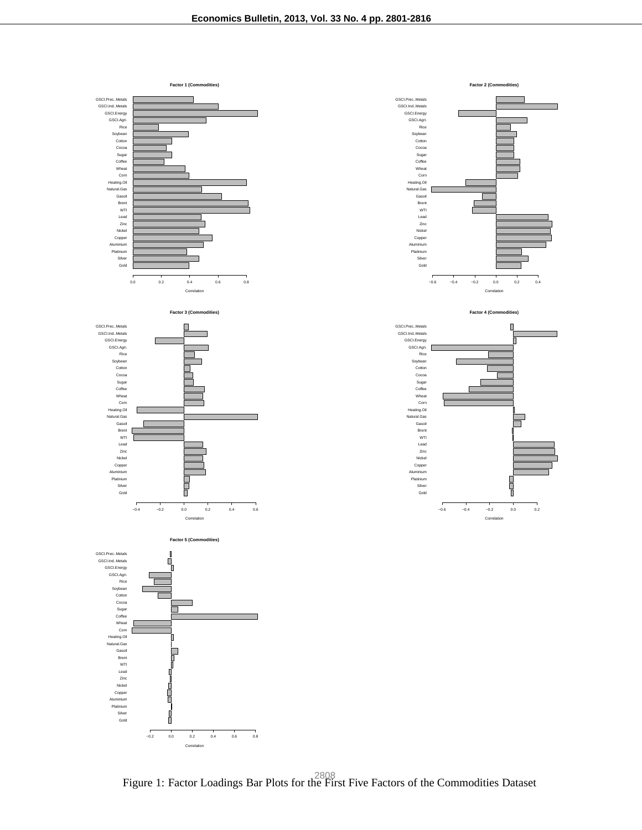









Figure 1: Factor Loadings Bar Plots for the First Five Factors of the Commodities Dataset <sup>2808</sup>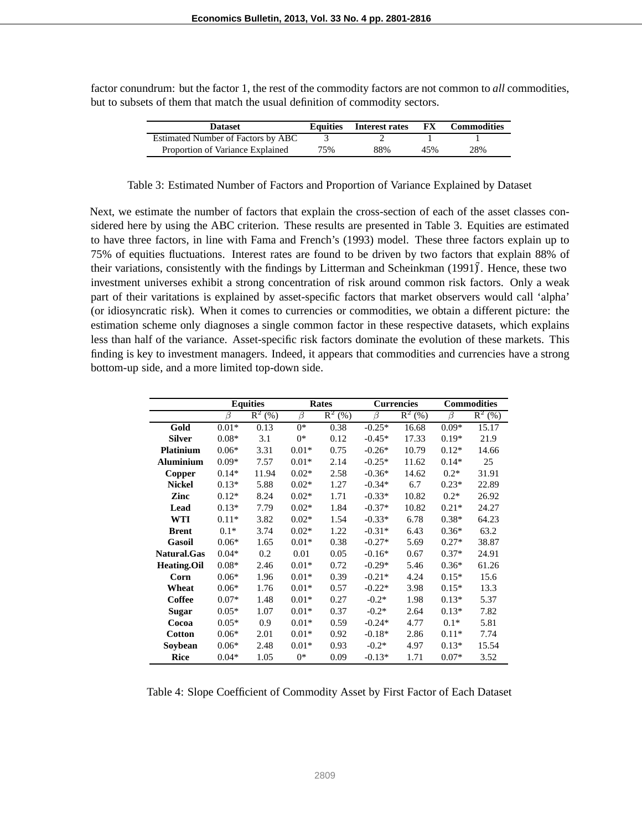factor conundrum: but the factor 1, the rest of the commodity factors are not common to *all* commodities, but to subsets of them that match the usual definition of commodity sectors.

| <b>Dataset</b>                     | <b>Equities</b> | Interest rates | FX  | <b>Commodities</b> |
|------------------------------------|-----------------|----------------|-----|--------------------|
| Estimated Number of Factors by ABC |                 |                |     |                    |
| Proportion of Variance Explained   | 75%             | 88%            | 45% | 28%                |

Table 3: Estimated Number of Factors and Proportion of Variance Explained by Dataset

Next, we estimate the number of factors that explain the cross-section of each of the asset classes considered here by using the ABC criterion. These results are presented in Table 3. Equities are estimated to have three factors, in line with Fama and French's (1993) model. These three factors explain up to 75% of equities fluctuations. Interest rates are found to be driven by two factors that explain 88% of their variations, consistently with the findings by Litterman and Scheinkman (1991). Hence, these two investment universes exhibit a strong concentration of risk around common risk factors. Only a weak part of their varitations is explained by asset-specific factors that market observers would call 'alpha' (or idiosyncratic risk). When it comes to currencies or commodities, we obtain a different picture: the estimation scheme only diagnoses a single common factor in these respective datasets, which explains less than half of the variance. Asset-specific risk factors dominate the evolution of these markets. This finding is key to investment managers. Indeed, it appears that commodities and currencies have a strong bottom-up side, and a more limited top-down side.

|                    |         | <b>Equities</b> |         | Rates     |          | <b>Currencies</b> |         | <b>Commodities</b> |
|--------------------|---------|-----------------|---------|-----------|----------|-------------------|---------|--------------------|
|                    | β       | $R^2(%)$        | β       | $R^2$ (%) | $\beta$  | $R^2(%)$          | β       | $R^2$ (%)          |
| Gold               | $0.01*$ | 0.13            | $0*$    | 0.38      | $-0.25*$ | 16.68             | $0.09*$ | 15.17              |
| <b>Silver</b>      | $0.08*$ | 3.1             | $0*$    | 0.12      | $-0.45*$ | 17.33             | $0.19*$ | 21.9               |
| <b>Platinium</b>   | $0.06*$ | 3.31            | $0.01*$ | 0.75      | $-0.26*$ | 10.79             | $0.12*$ | 14.66              |
| <b>Aluminium</b>   | $0.09*$ | 7.57            | $0.01*$ | 2.14      | $-0.25*$ | 11.62             | $0.14*$ | 25                 |
| Copper             | $0.14*$ | 11.94           | $0.02*$ | 2.58      | $-0.36*$ | 14.62             | $0.2*$  | 31.91              |
| <b>Nickel</b>      | $0.13*$ | 5.88            | $0.02*$ | 1.27      | $-0.34*$ | 6.7               | $0.23*$ | 22.89              |
| Zinc               | $0.12*$ | 8.24            | $0.02*$ | 1.71      | $-0.33*$ | 10.82             | $0.2*$  | 26.92              |
| Lead               | $0.13*$ | 7.79            | $0.02*$ | 1.84      | $-0.37*$ | 10.82             | $0.21*$ | 24.27              |
| <b>WTI</b>         | $0.11*$ | 3.82            | $0.02*$ | 1.54      | $-0.33*$ | 6.78              | $0.38*$ | 64.23              |
| <b>Brent</b>       | $0.1*$  | 3.74            | $0.02*$ | 1.22      | $-0.31*$ | 6.43              | $0.36*$ | 63.2               |
| Gasoil             | $0.06*$ | 1.65            | $0.01*$ | 0.38      | $-0.27*$ | 5.69              | $0.27*$ | 38.87              |
| Natural.Gas        | $0.04*$ | 0.2             | 0.01    | 0.05      | $-0.16*$ | 0.67              | $0.37*$ | 24.91              |
| <b>Heating.Oil</b> | $0.08*$ | 2.46            | $0.01*$ | 0.72      | $-0.29*$ | 5.46              | $0.36*$ | 61.26              |
| Corn               | $0.06*$ | 1.96            | $0.01*$ | 0.39      | $-0.21*$ | 4.24              | $0.15*$ | 15.6               |
| Wheat              | $0.06*$ | 1.76            | $0.01*$ | 0.57      | $-0.22*$ | 3.98              | $0.15*$ | 13.3               |
| Coffee             | $0.07*$ | 1.48            | $0.01*$ | 0.27      | $-0.2*$  | 1.98              | $0.13*$ | 5.37               |
| <b>Sugar</b>       | $0.05*$ | 1.07            | $0.01*$ | 0.37      | $-0.2*$  | 2.64              | $0.13*$ | 7.82               |
| Cocoa              | $0.05*$ | 0.9             | $0.01*$ | 0.59      | $-0.24*$ | 4.77              | $0.1*$  | 5.81               |
| <b>Cotton</b>      | $0.06*$ | 2.01            | $0.01*$ | 0.92      | $-0.18*$ | 2.86              | $0.11*$ | 7.74               |
| Soybean            | $0.06*$ | 2.48            | $0.01*$ | 0.93      | $-0.2*$  | 4.97              | $0.13*$ | 15.54              |
| <b>Rice</b>        | $0.04*$ | 1.05            | $0*$    | 0.09      | $-0.13*$ | 1.71              | $0.07*$ | 3.52               |

Table 4: Slope Coefficient of Commodity Asset by First Factor of Each Dataset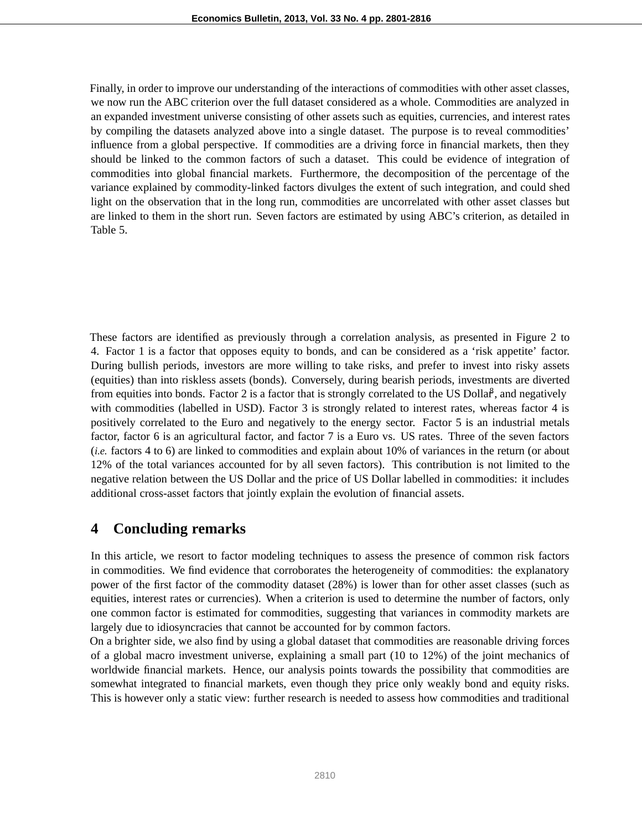Finally, in order to improve our understanding of the interactions of commodities with other asset classes, we now run the ABC criterion over the full dataset considered as a whole. Commodities are analyzed in an expanded investment universe consisting of other assets such as equities, currencies, and interest rates by compiling the datasets analyzed above into a single dataset. The purpose is to reveal commodities' influence from a global perspective. If commodities are a driving force in financial markets, then they should be linked to the common factors of such a dataset. This could be evidence of integration of commodities into global financial markets. Furthermore, the decomposition of the percentage of the variance explained by commodity-linked factors divulges the extent of such integration, and could shed light on the observation that in the long run, commodities are uncorrelated with other asset classes but are linked to them in the short run. Seven factors are estimated by using ABC's criterion, as detailed in Table 5.

These factors are identified as previously through a correlation analysis, as presented in Figure 2 to 4. Factor 1 is a factor that opposes equity to bonds, and can be considered as a 'risk appetite' factor. During bullish periods, investors are more willing to take risks, and prefer to invest into risky assets (equities) than into riskless assets (bonds). Conversely, during bearish periods, investments are diverted from equities into bonds. Factor 2 is a factor that is strongly correlated to the US Dollar, and negatively with commodities (labelled in USD). Factor 3 is strongly related to interest rates, whereas factor 4 is positively correlated to the Euro and negatively to the energy sector. Factor 5 is an industrial metals factor, factor 6 is an agricultural factor, and factor 7 is a Euro vs. US rates. Three of the seven factors (*i.e.* factors 4 to 6) are linked to commodities and explain about 10% of variances in the return (or about 12% of the total variances accounted for by all seven factors). This contribution is not limited to the negative relation between the US Dollar and the price of US Dollar labelled in commodities: it includes additional cross-asset factors that jointly explain the evolution of financial assets.

#### **4 Concluding remarks**

In this article, we resort to factor modeling techniques to assess the presence of common risk factors in commodities. We find evidence that corroborates the heterogeneity of commodities: the explanatory power of the first factor of the commodity dataset (28%) is lower than for other asset classes (such as equities, interest rates or currencies). When a criterion is used to determine the number of factors, only one common factor is estimated for commodities, suggesting that variances in commodity markets are largely due to idiosyncracies that cannot be accounted for by common factors.

On a brighter side, we also find by using a global dataset that commodities are reasonable driving forces of a global macro investment universe, explaining a small part (10 to 12%) of the joint mechanics of worldwide financial markets. Hence, our analysis points towards the possibility that commodities are somewhat integrated to financial markets, even though they price only weakly bond and equity risks. This is however only a static view: further research is needed to assess how commodities and traditional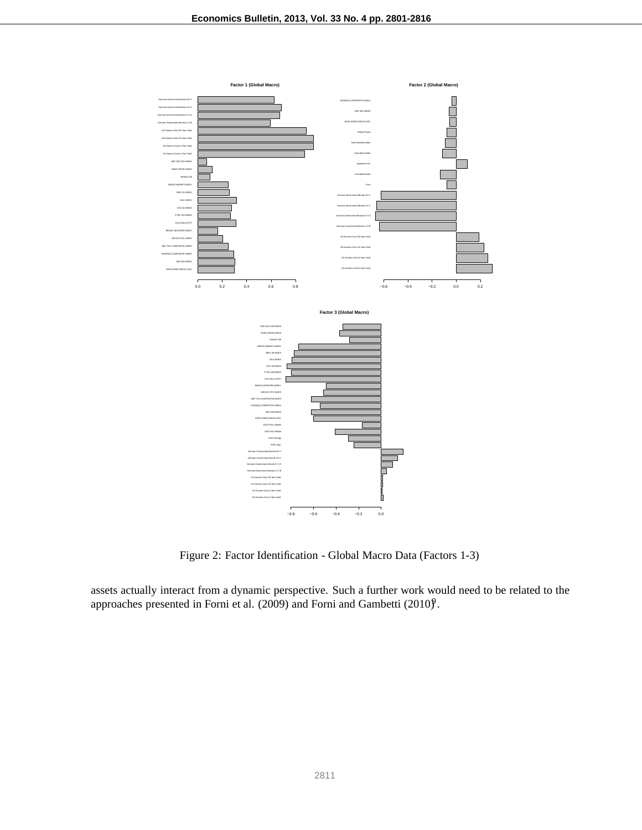

Figure 2: Factor Identification - Global Macro Data (Factors 1-3)

assets actually interact from a dynamic perspective. Such a further work would need to be related to the approaches presented in Forni et al. (2009) and Forni and Gambetti (2010)<sup>9</sup>.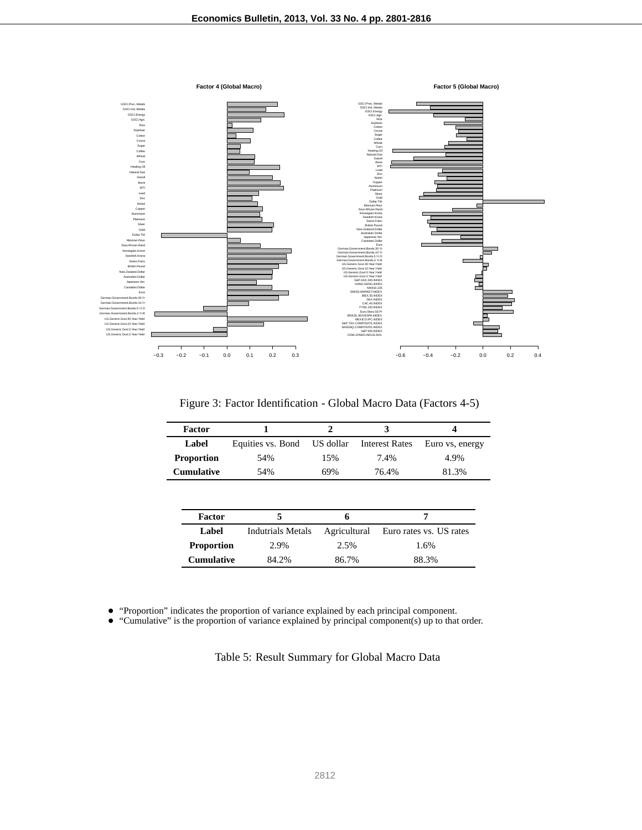

Figure 3: Factor Identification - Global Macro Data (Factors 4-5)

| <b>Factor</b>     |                          |              | 3                     | 4                       |
|-------------------|--------------------------|--------------|-----------------------|-------------------------|
| Label             | Equities vs. Bond        | US dollar    | <b>Interest Rates</b> | Euro vs, energy         |
| <b>Proportion</b> | 54%                      | 15%          | 7.4%                  | 4.9%                    |
| <b>Cumulative</b> | 54%                      | 69%          | 76.4%                 | 81.3%                   |
|                   |                          |              |                       |                         |
|                   |                          |              |                       |                         |
| Factor            | 5                        | 6            |                       | 7                       |
| Label             | <b>Indutrials Metals</b> | Agricultural |                       | Euro rates vs. US rates |
| <b>Proportion</b> | 2.9%                     | 2.5%         |                       | 1.6%                    |
| <b>Cumulative</b> | 84.2%                    | 86.7%        |                       | 88.3%                   |

• "Proportion" indicates the proportion of variance explained by each principal component.<br>• "Cumulative" is the proportion of variance explained by principal component(s) up to that

• "Cumulative" is the proportion of variance explained by principal component(s) up to that order.

Table 5: Result Summary for Global Macro Data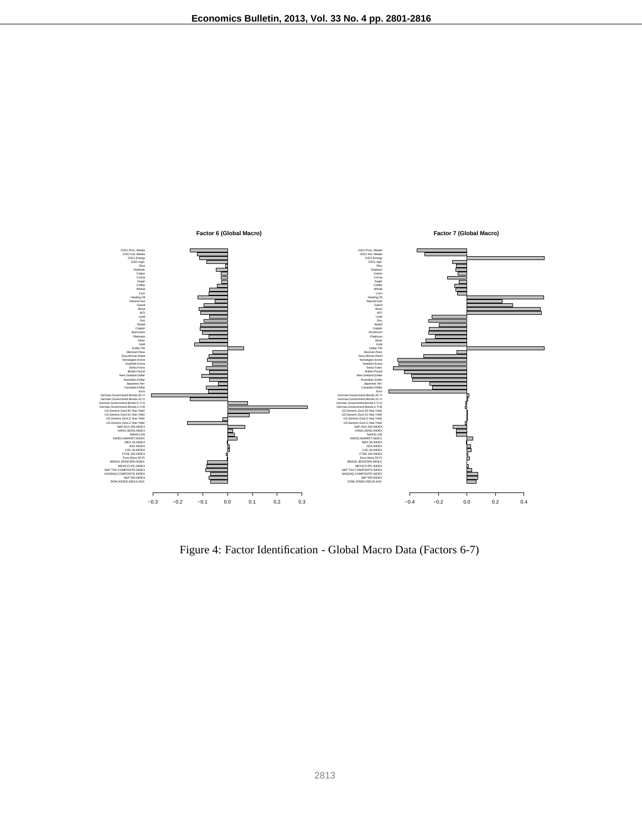

Figure 4: Factor Identification - Global Macro Data (Factors 6-7)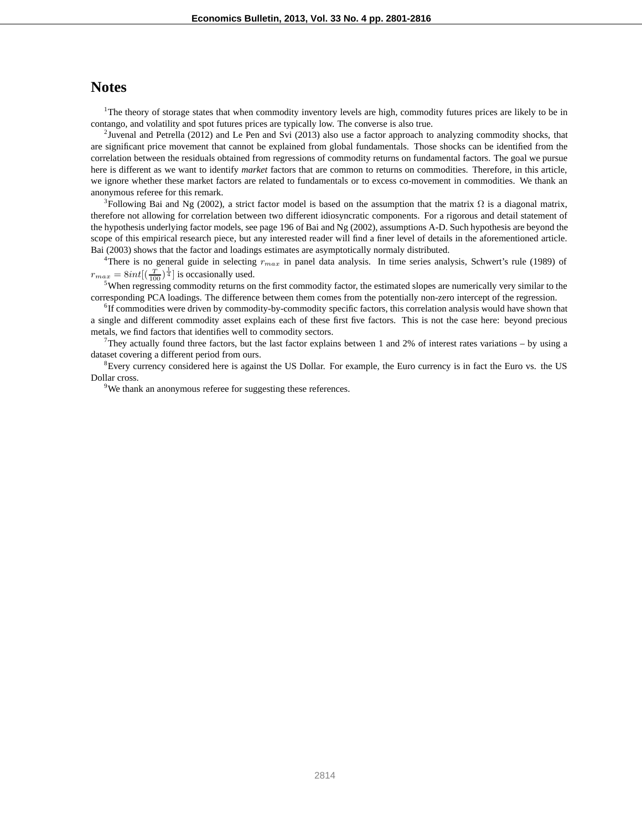#### **Notes**

<sup>1</sup>The theory of storage states that when commodity inventory levels are high, commodity futures prices are likely to be in contango, and volatility and spot futures prices are typically low. The converse is also true.

<sup>2</sup>Juvenal and Petrella (2012) and Le Pen and Svi (2013) also use a factor approach to analyzing commodity shocks, that are significant price movement that cannot be explained from global fundamentals. Those shocks can be identified from the correlation between the residuals obtained from regressions of commodity returns on fundamental factors. The goal we pursue here is different as we want to identify *market* factors that are common to returns on commodities. Therefore, in this article, we ignore whether these market factors are related to fundamentals or to excess co-movement in commodities. We thank an anonymous referee for this remark.

<sup>3</sup>Following Bai and Ng (2002), a strict factor model is based on the assumption that the matrix  $\Omega$  is a diagonal matrix, therefore not allowing for correlation between two different idiosyncratic components. For a rigorous and detail statement of the hypothesis underlying factor models, see page 196 of Bai and Ng (2002), assumptions A-D. Such hypothesis are beyond the scope of this empirical research piece, but any interested reader will find a finer level of details in the aforementioned article. Bai (2003) shows that the factor and loadings estimates are asymptotically normaly distributed.

4 There is no general guide in selecting r*max* in panel data analysis. In time series analysis, Schwert's rule (1989) of  $r_{max} = 8int[(\frac{T}{100})^{\frac{1}{4}}]$  is occasionally used.

<sup>5</sup>When regressing commodity returns on the first commodity factor, the estimated slopes are numerically very similar to the corresponding PCA loadings. The difference between them comes from the potentially non-zero intercept of the regression.

6 If commodities were driven by commodity-by-commodity specific factors, this correlation analysis would have shown that a single and different commodity asset explains each of these first five factors. This is not the case here: beyond precious metals, we find factors that identifies well to commodity sectors.

They actually found three factors, but the last factor explains between 1 and 2% of interest rates variations  $-$  by using a dataset covering a different period from ours.

<sup>8</sup>Every currency considered here is against the US Dollar. For example, the Euro currency is in fact the Euro vs. the US Dollar cross.

<sup>9</sup>We thank an anonymous referee for suggesting these references.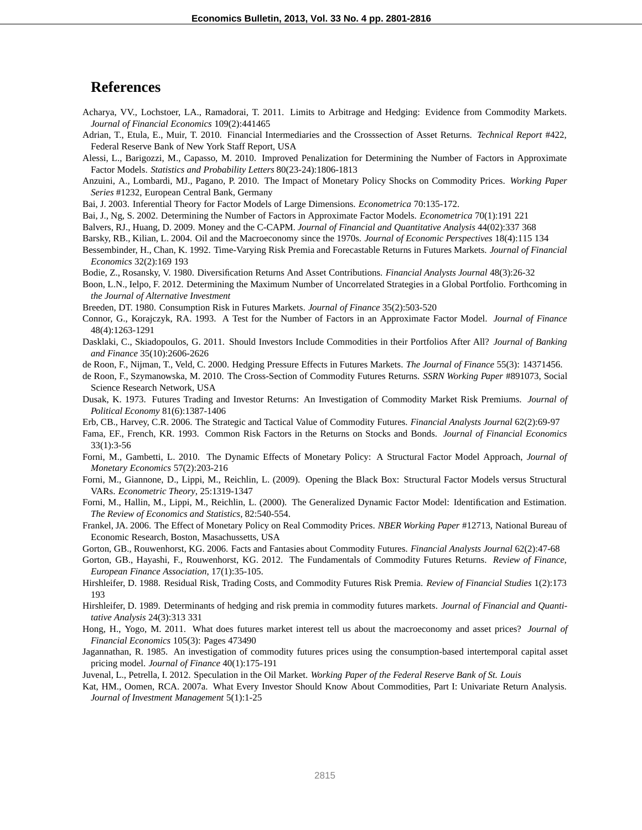#### **References**

- Acharya, VV., Lochstoer, LA., Ramadorai, T. 2011. Limits to Arbitrage and Hedging: Evidence from Commodity Markets. *Journal of Financial Economics* 109(2):441465
- Adrian, T., Etula, E., Muir, T. 2010. Financial Intermediaries and the Crosssection of Asset Returns. *Technical Report* #422, Federal Reserve Bank of New York Staff Report, USA
- Alessi, L., Barigozzi, M., Capasso, M. 2010. Improved Penalization for Determining the Number of Factors in Approximate Factor Models. *Statistics and Probability Letters* 80(23-24):1806-1813
- Anzuini, A., Lombardi, MJ., Pagano, P. 2010. The Impact of Monetary Policy Shocks on Commodity Prices. *Working Paper Series* #1232, European Central Bank, Germany

Bai, J. 2003. Inferential Theory for Factor Models of Large Dimensions. *Econometrica* 70:135-172.

Bai, J., Ng, S. 2002. Determining the Number of Factors in Approximate Factor Models. *Econometrica* 70(1):191 221

Balvers, RJ., Huang, D. 2009. Money and the C-CAPM. *Journal of Financial and Quantitative Analysis* 44(02):337 368

- Barsky, RB., Kilian, L. 2004. Oil and the Macroeconomy since the 1970s. *Journal of Economic Perspectives* 18(4):115 134
- Bessembinder, H., Chan, K. 1992. Time-Varying Risk Premia and Forecastable Returns in Futures Markets. *Journal of Financial Economics* 32(2):169 193
- Bodie, Z., Rosansky, V. 1980. Diversification Returns And Asset Contributions. *Financial Analysts Journal* 48(3):26-32
- Boon, L.N., Ielpo, F. 2012. Determining the Maximum Number of Uncorrelated Strategies in a Global Portfolio. Forthcoming in *the Journal of Alternative Investment*
- Breeden, DT. 1980. Consumption Risk in Futures Markets. *Journal of Finance* 35(2):503-520
- Connor, G., Korajczyk, RA. 1993. A Test for the Number of Factors in an Approximate Factor Model. *Journal of Finance* 48(4):1263-1291
- Dasklaki, C., Skiadopoulos, G. 2011. Should Investors Include Commodities in their Portfolios After All? *Journal of Banking and Finance* 35(10):2606-2626
- de Roon, F., Nijman, T., Veld, C. 2000. Hedging Pressure Effects in Futures Markets. *The Journal of Finance* 55(3): 14371456.
- de Roon, F., Szymanowska, M. 2010. The Cross-Section of Commodity Futures Returns. *SSRN Working Paper* #891073, Social Science Research Network, USA
- Dusak, K. 1973. Futures Trading and Investor Returns: An Investigation of Commodity Market Risk Premiums. *Journal of Political Economy* 81(6):1387-1406
- Erb, CB., Harvey, C.R. 2006. The Strategic and Tactical Value of Commodity Futures. *Financial Analysts Journal* 62(2):69-97
- Fama, EF., French, KR. 1993. Common Risk Factors in the Returns on Stocks and Bonds. *Journal of Financial Economics* 33(1):3-56
- Forni, M., Gambetti, L. 2010. The Dynamic Effects of Monetary Policy: A Structural Factor Model Approach, *Journal of Monetary Economics* 57(2):203-216
- Forni, M., Giannone, D., Lippi, M., Reichlin, L. (2009). Opening the Black Box: Structural Factor Models versus Structural VARs. *Econometric Theory*, 25:1319-1347
- Forni, M., Hallin, M., Lippi, M., Reichlin, L. (2000). The Generalized Dynamic Factor Model: Identification and Estimation. *The Review of Economics and Statistics*, 82:540-554.
- Frankel, JA. 2006. The Effect of Monetary Policy on Real Commodity Prices. *NBER Working Paper* #12713, National Bureau of Economic Research, Boston, Masachussetts, USA
- Gorton, GB., Rouwenhorst, KG. 2006. Facts and Fantasies about Commodity Futures. *Financial Analysts Journal* 62(2):47-68
- Gorton, GB., Hayashi, F., Rouwenhorst, KG. 2012. The Fundamentals of Commodity Futures Returns. *Review of Finance, European Finance Association*, 17(1):35-105.
- Hirshleifer, D. 1988. Residual Risk, Trading Costs, and Commodity Futures Risk Premia. *Review of Financial Studies* 1(2):173 193
- Hirshleifer, D. 1989. Determinants of hedging and risk premia in commodity futures markets. *Journal of Financial and Quantitative Analysis* 24(3):313 331
- Hong, H., Yogo, M. 2011. What does futures market interest tell us about the macroeconomy and asset prices? *Journal of Financial Economics* 105(3): Pages 473490
- Jagannathan, R. 1985. An investigation of commodity futures prices using the consumption-based intertemporal capital asset pricing model. *Journal of Finance* 40(1):175-191
- Juvenal, L., Petrella, I. 2012. Speculation in the Oil Market. *Working Paper of the Federal Reserve Bank of St. Louis*
- Kat, HM., Oomen, RCA. 2007a. What Every Investor Should Know About Commodities, Part I: Univariate Return Analysis. *Journal of Investment Management* 5(1):1-25